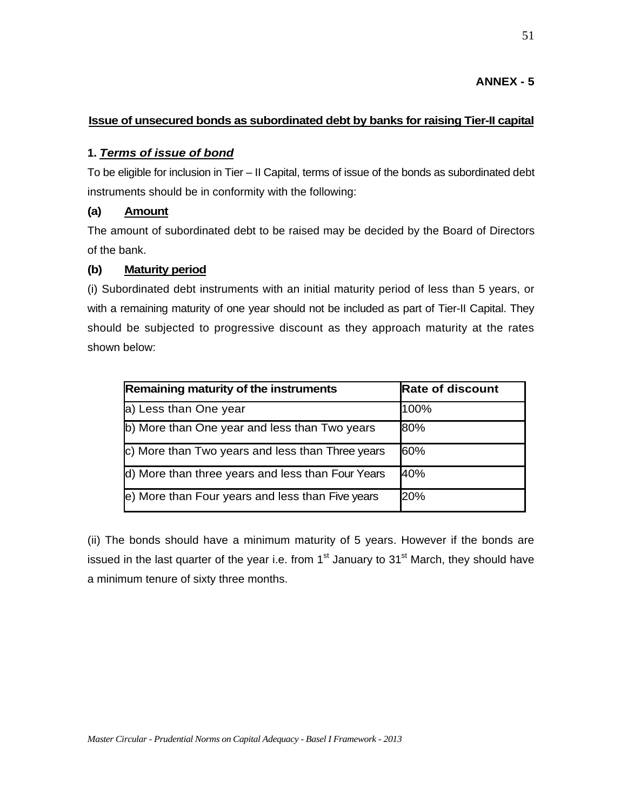# **ANNEX - 5**

# **Issue of unsecured bonds as subordinated debt by banks for raising Tier-II capital**

### **1.** *Terms of issue of bond*

To be eligible for inclusion in Tier – II Capital, terms of issue of the bonds as subordinated debt instruments should be in conformity with the following:

# **(a) Amount**

The amount of subordinated debt to be raised may be decided by the Board of Directors of the bank.

## **(b) Maturity period**

(i) Subordinated debt instruments with an initial maturity period of less than 5 years, or with a remaining maturity of one year should not be included as part of Tier-II Capital. They should be subjected to progressive discount as they approach maturity at the rates shown below:

| Remaining maturity of the instruments             | <b>Rate of discount</b> |
|---------------------------------------------------|-------------------------|
| a) Less than One year                             | 100%                    |
| b) More than One year and less than Two years     | 80%                     |
| c) More than Two years and less than Three years  | 60%                     |
| d) More than three years and less than Four Years | 40%                     |
| e) More than Four years and less than Five years  | 20%                     |

(ii) The bonds should have a minimum maturity of 5 years. However if the bonds are issued in the last quarter of the year i.e. from  $1<sup>st</sup>$  January to  $31<sup>st</sup>$  March, they should have a minimum tenure of sixty three months.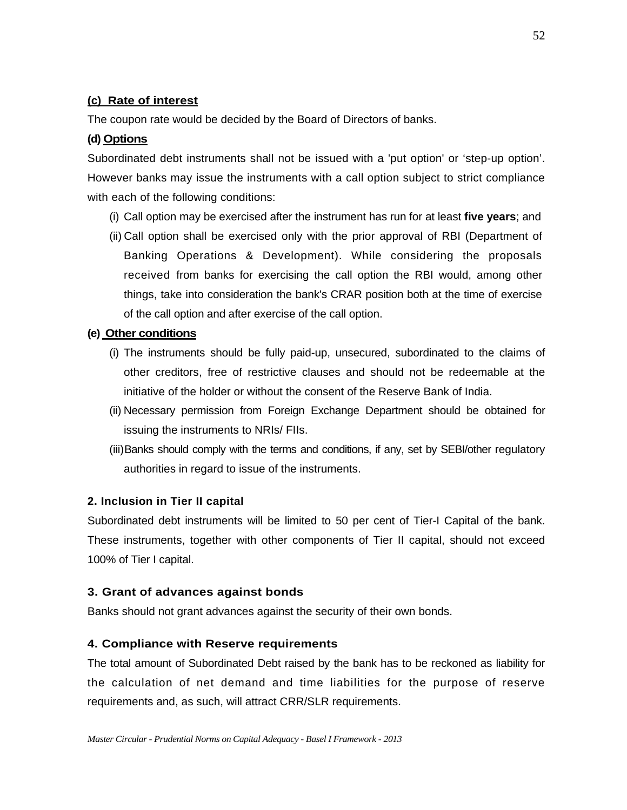# **(c) Rate of interest**

The coupon rate would be decided by the Board of Directors of banks.

### **(d) Options**

Subordinated debt instruments shall not be issued with a 'put option' or 'step-up option'. However banks may issue the instruments with a call option subject to strict compliance with each of the following conditions:

- (i) Call option may be exercised after the instrument has run for at least **five years**; and
- (ii) Call option shall be exercised only with the prior approval of RBI (Department of Banking Operations & Development). While considering the proposals received from banks for exercising the call option the RBI would, among other things, take into consideration the bank's CRAR position both at the time of exercise of the call option and after exercise of the call option.

### **(e) Other conditions**

- (i) The instruments should be fully paid-up, unsecured, subordinated to the claims of other creditors, free of restrictive clauses and should not be redeemable at the initiative of the holder or without the consent of the Reserve Bank of India.
- (ii) Necessary permission from Foreign Exchange Department should be obtained for issuing the instruments to NRIs/ FIIs.
- (iii) Banks should comply with the terms and conditions, if any, set by SEBI/other regulatory authorities in regard to issue of the instruments.

### **2. Inclusion in Tier II capital**

Subordinated debt instruments will be limited to 50 per cent of Tier-I Capital of the bank. These instruments, together with other components of Tier II capital, should not exceed 100% of Tier I capital.

#### **3. Grant of advances against bonds**

Banks should not grant advances against the security of their own bonds.

### **4. Compliance with Reserve requirements**

The total amount of Subordinated Debt raised by the bank has to be reckoned as liability for the calculation of net demand and time liabilities for the purpose of reserve requirements and, as such, will attract CRR/SLR requirements.